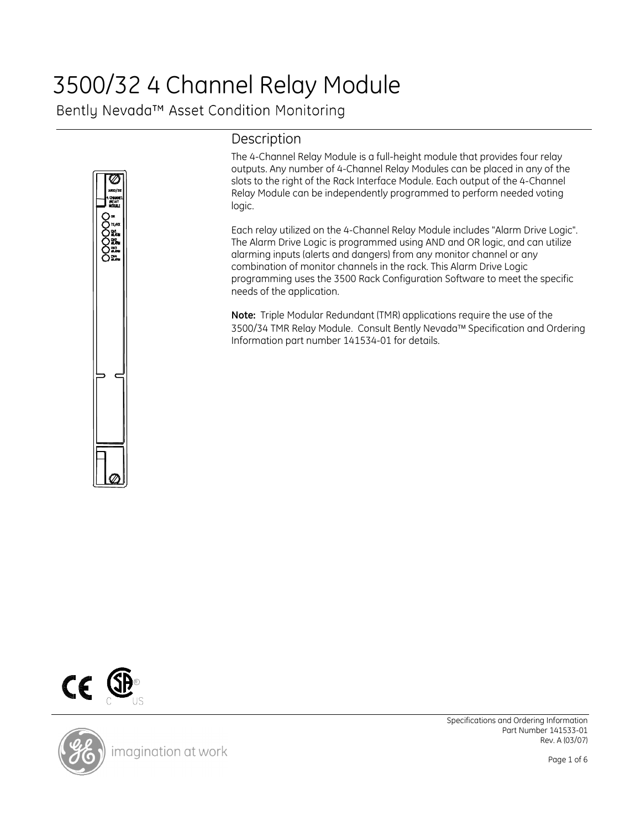## 3500/32 4 Channel Relay Module

Bently Nevada™ Asset Condition Monitoring



## Description

The 4-Channel Relay Module is a full-height module that provides four relay outputs. Any number of 4-Channel Relay Modules can be placed in any of the slots to the right of the Rack Interface Module. Each output of the 4-Channel Relay Module can be independently programmed to perform needed voting logic.

Each relay utilized on the 4-Channel Relay Module includes "Alarm Drive Logic". The Alarm Drive Logic is programmed using AND and OR logic, and can utilize alarming inputs (alerts and dangers) from any monitor channel or any combination of monitor channels in the rack. This Alarm Drive Logic programming uses the 3500 Rack Configuration Software to meet the specific needs of the application.

Note: Triple Modular Redundant (TMR) applications require the use of the 3500/34 TMR Relay Module. Consult Bently Nevada™ Specification and Ordering Information part number 141534-01 for details.





imagination at work

Specifications and Ordering Information Part Number 141533-01 Rev. A (03/07)

Page 1 of 6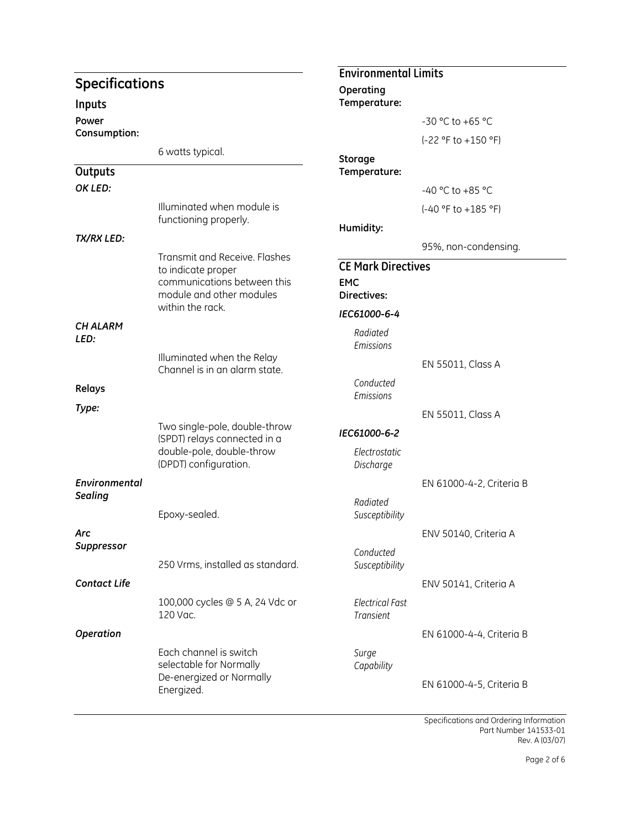|                         |                                                     | <b>Environmental Limits</b>                |                          |  |
|-------------------------|-----------------------------------------------------|--------------------------------------------|--------------------------|--|
| <b>Specifications</b>   |                                                     | Operating                                  |                          |  |
| Inputs                  |                                                     | Temperature:                               |                          |  |
| Power                   |                                                     |                                            | -30 °C to +65 °C         |  |
| Consumption:            |                                                     |                                            | (-22 °F to +150 °F)      |  |
|                         | 6 watts typical.                                    |                                            |                          |  |
| Outputs                 |                                                     | Storage<br>Temperature:                    |                          |  |
| OK LED:                 |                                                     |                                            |                          |  |
|                         |                                                     |                                            | -40 °C to +85 °C         |  |
|                         | Illuminated when module is<br>functioning properly. |                                            | (-40 °F to +185 °F)      |  |
| <b>TX/RX LED:</b>       |                                                     | Humidity:                                  |                          |  |
|                         |                                                     |                                            | 95%, non-condensing.     |  |
|                         | Transmit and Receive. Flashes<br>to indicate proper | <b>CE Mark Directives</b>                  |                          |  |
|                         | communications between this                         | <b>EMC</b>                                 |                          |  |
|                         | module and other modules                            | Directives:                                |                          |  |
|                         | within the rack.                                    | IEC61000-6-4                               |                          |  |
| <b>CH ALARM</b><br>LED: |                                                     | Radiated<br>Emissions                      |                          |  |
|                         | Illuminated when the Relay                          |                                            | EN 55011, Class A        |  |
|                         | Channel is in an alarm state.                       | Conducted                                  |                          |  |
| Relays                  |                                                     | Emissions                                  |                          |  |
| Type:                   |                                                     |                                            | EN 55011, Class A        |  |
|                         | Two single-pole, double-throw                       | IEC61000-6-2                               |                          |  |
|                         | (SPDT) relays connected in a                        |                                            |                          |  |
|                         | double-pole, double-throw<br>(DPDT) configuration.  | Electrostatic<br>Discharge                 |                          |  |
| Environmental           |                                                     |                                            | EN 61000-4-2, Criteria B |  |
| <b>Sealing</b>          |                                                     |                                            |                          |  |
|                         | Epoxy-sealed.                                       | Radiated<br>Susceptibility                 |                          |  |
| Arc                     |                                                     |                                            | ENV 50140, Criteria A    |  |
| <b>Suppressor</b>       |                                                     |                                            |                          |  |
|                         | 250 Vrms, installed as standard.                    | Conducted<br>Susceptibility                |                          |  |
| <b>Contact Life</b>     |                                                     |                                            | ENV 50141, Criteria A    |  |
|                         |                                                     |                                            |                          |  |
|                         | 100,000 cycles @ 5 A, 24 Vdc or<br>120 Vac.         | <b>Electrical Fast</b><br><b>Transient</b> |                          |  |
| Operation               |                                                     |                                            | EN 61000-4-4, Criteria B |  |
|                         | Each channel is switch                              | Surge                                      |                          |  |
|                         | selectable for Normally                             | Capability                                 |                          |  |
|                         | De-energized or Normally<br>Energized.              |                                            | EN 61000-4-5, Criteria B |  |
|                         |                                                     |                                            |                          |  |

Specifications and Ordering Information Part Number 141533-01 Rev. A (03/07)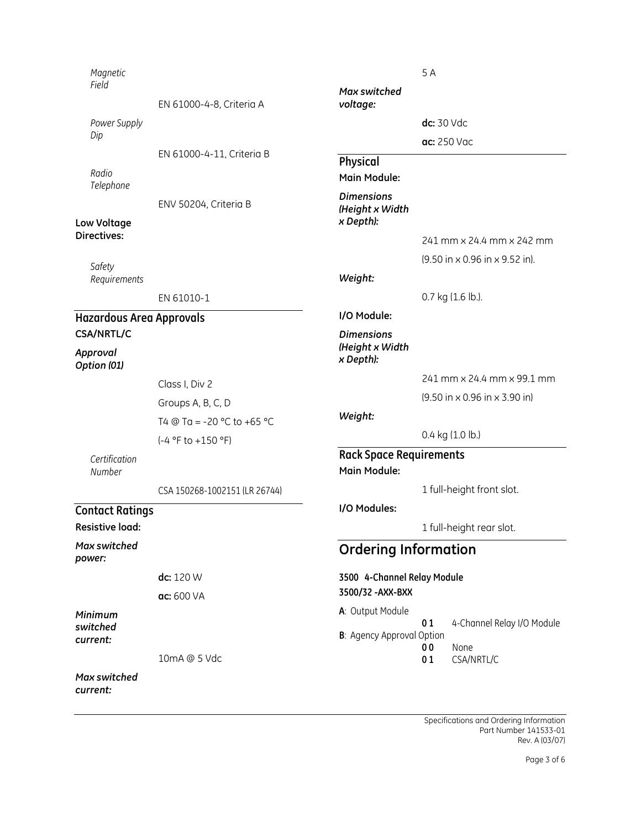| Magnetic<br>Field                            |                               | Max switched                                      | 5A                          |                                                                   |  |
|----------------------------------------------|-------------------------------|---------------------------------------------------|-----------------------------|-------------------------------------------------------------------|--|
|                                              | EN 61000-4-8, Criteria A      | voltage:                                          |                             |                                                                   |  |
| Power Supply                                 |                               |                                                   | dc: 30 Vdc                  |                                                                   |  |
| Dip                                          |                               |                                                   |                             | ac: 250 Vac                                                       |  |
|                                              | EN 61000-4-11, Criteria B     | Physical                                          |                             |                                                                   |  |
| Radio<br>Telephone                           |                               | Main Module:                                      |                             |                                                                   |  |
| Low Voltage                                  | ENV 50204, Criteria B         | <b>Dimensions</b><br>(Height x Width<br>x Depth): |                             |                                                                   |  |
| <b>Directives:</b>                           |                               |                                                   |                             | 241 mm x 24.4 mm x 242 mm                                         |  |
| Safety                                       |                               |                                                   |                             | (9.50 in x 0.96 in x 9.52 in).                                    |  |
| Requirements                                 |                               | Weight:                                           |                             |                                                                   |  |
|                                              | EN 61010-1                    |                                                   |                             | 0.7 kg (1.6 lb.).                                                 |  |
| <b>Hazardous Area Approvals</b>              |                               | I/O Module:                                       |                             |                                                                   |  |
| <b>CSA/NRTL/C</b><br>Approval<br>Option (01) |                               | <b>Dimensions</b><br>(Height x Width<br>x Depth): |                             |                                                                   |  |
|                                              | Class I, Div 2                |                                                   |                             | 241 mm x 24.4 mm x 99.1 mm                                        |  |
|                                              | Groups A, B, C, D             |                                                   |                             | $(9.50 \text{ in} \times 0.96 \text{ in} \times 3.90 \text{ in})$ |  |
|                                              | T4 @ Ta = -20 °C to +65 °C    | Weight:                                           |                             |                                                                   |  |
|                                              | (-4 °F to +150 °F)            |                                                   |                             | 0.4 kg (1.0 lb.)                                                  |  |
| Certification<br>Number                      |                               | <b>Rack Space Requirements</b><br>Main Module:    |                             |                                                                   |  |
|                                              | CSA 150268-1002151 (LR 26744) |                                                   |                             | 1 full-height front slot.                                         |  |
| <b>Contact Ratings</b><br>Resistive load:    |                               | I/O Modules:                                      |                             | 1 full-height rear slot.                                          |  |
| Max switched<br>power:                       |                               |                                                   | <b>Ordering Information</b> |                                                                   |  |
|                                              | dc: 120 W                     | 3500 4-Channel Relay Module                       |                             |                                                                   |  |
|                                              | ac: 600 VA                    | 3500/32 - AXX-BXX                                 |                             |                                                                   |  |
| Minimum<br>switched                          |                               | A: Output Module                                  | 01                          | 4-Channel Relay I/O Module                                        |  |
| current:                                     |                               | <b>B</b> : Agency Approval Option                 | 0 <sub>0</sub>              | None                                                              |  |
|                                              | 10mA @ 5 Vdc                  |                                                   | 01                          | CSA/NRTL/C                                                        |  |
| Max switched<br>current:                     |                               |                                                   |                             |                                                                   |  |

Specifications and Ordering Information Part Number 141533-01 Rev. A (03/07)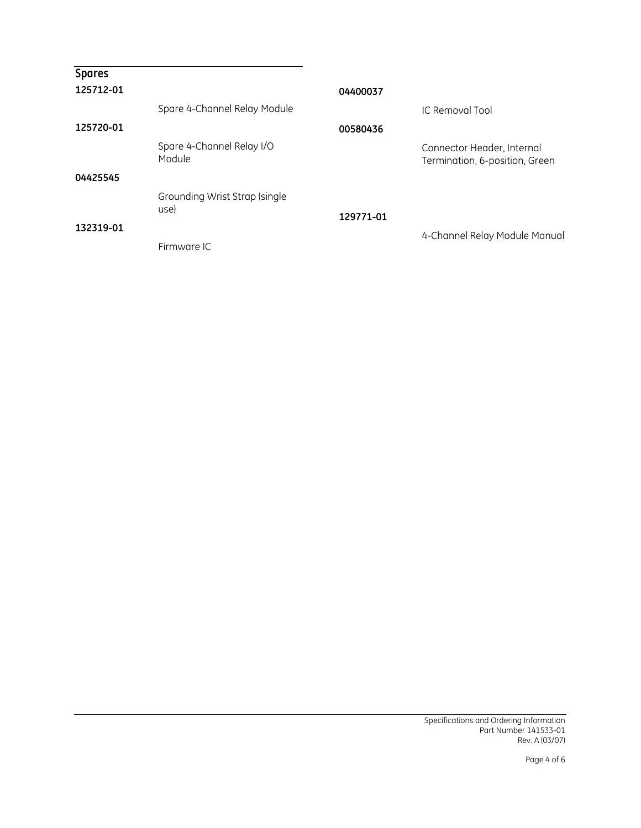| <b>Spares</b><br>125712-01 |                                       | 04400037  |                                                              |
|----------------------------|---------------------------------------|-----------|--------------------------------------------------------------|
|                            | Spare 4-Channel Relay Module          |           | IC Removal Tool                                              |
| 125720-01                  |                                       | 00580436  |                                                              |
|                            | Spare 4-Channel Relay I/O<br>Module   |           | Connector Header, Internal<br>Termination, 6-position, Green |
| 04425545                   |                                       |           |                                                              |
|                            | Grounding Wrist Strap (single<br>use) | 129771-01 |                                                              |
| 132319-01                  | Firmware IC                           |           | 4-Channel Relay Module Manual                                |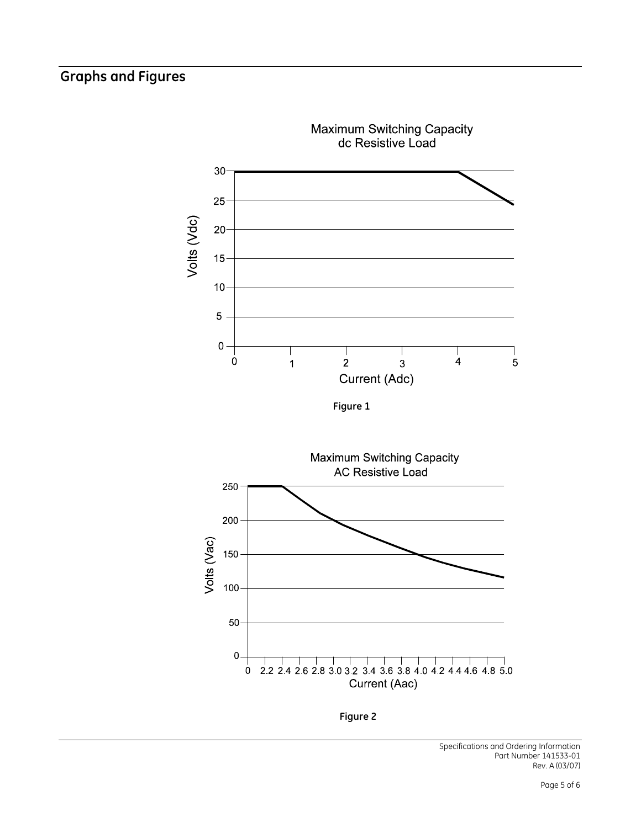## Graphs and Figures



Figure 2

Specifications and Ordering Information Part Number 141533-01 Rev. A (03/07)